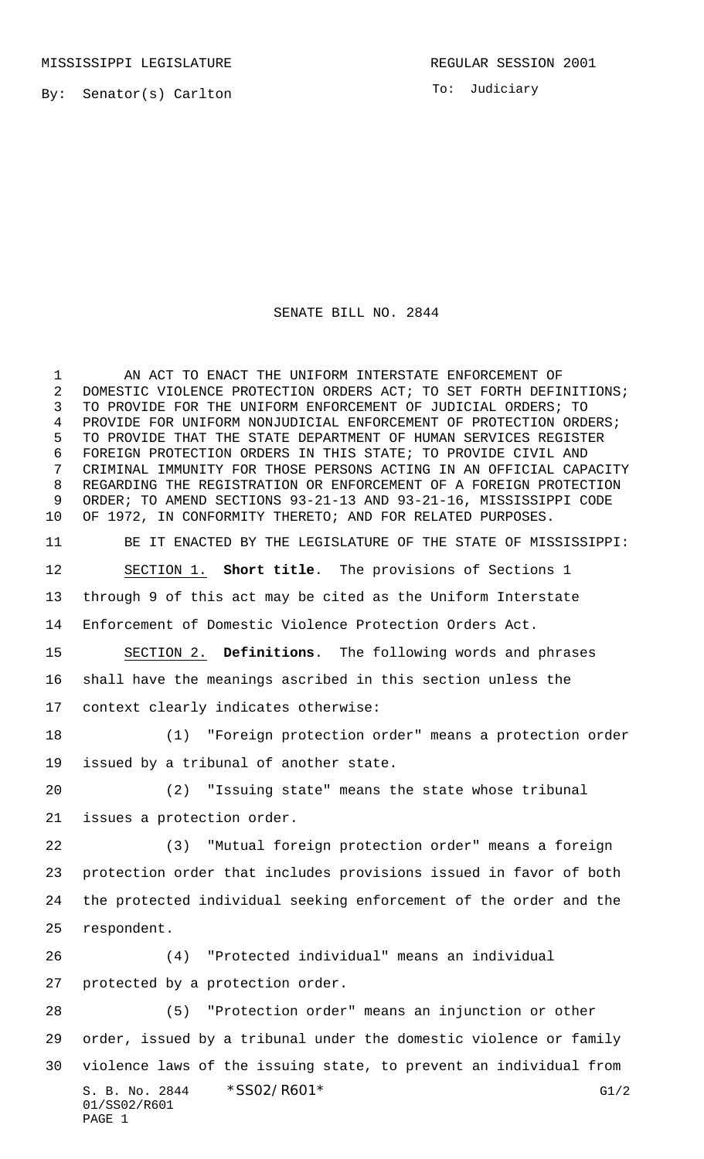MISSISSIPPI LEGISLATURE **REGULAR SESSION 2001** 

By: Senator(s) Carlton

To: Judiciary

## SENATE BILL NO. 2844

S. B. No. 2844 \* SS02/R601\* G1/2 01/SS02/R601 PAGE 1 1 AN ACT TO ENACT THE UNIFORM INTERSTATE ENFORCEMENT OF 2 DOMESTIC VIOLENCE PROTECTION ORDERS ACT; TO SET FORTH DEFINITIONS; TO PROVIDE FOR THE UNIFORM ENFORCEMENT OF JUDICIAL ORDERS; TO PROVIDE FOR UNIFORM NONJUDICIAL ENFORCEMENT OF PROTECTION ORDERS; TO PROVIDE THAT THE STATE DEPARTMENT OF HUMAN SERVICES REGISTER FOREIGN PROTECTION ORDERS IN THIS STATE; TO PROVIDE CIVIL AND CRIMINAL IMMUNITY FOR THOSE PERSONS ACTING IN AN OFFICIAL CAPACITY REGARDING THE REGISTRATION OR ENFORCEMENT OF A FOREIGN PROTECTION ORDER; TO AMEND SECTIONS 93-21-13 AND 93-21-16, MISSISSIPPI CODE OF 1972, IN CONFORMITY THERETO; AND FOR RELATED PURPOSES. BE IT ENACTED BY THE LEGISLATURE OF THE STATE OF MISSISSIPPI: SECTION 1. **Short title**. The provisions of Sections 1 through 9 of this act may be cited as the Uniform Interstate Enforcement of Domestic Violence Protection Orders Act. SECTION 2. **Definitions**. The following words and phrases shall have the meanings ascribed in this section unless the context clearly indicates otherwise: (1) "Foreign protection order" means a protection order issued by a tribunal of another state. (2) "Issuing state" means the state whose tribunal issues a protection order. (3) "Mutual foreign protection order" means a foreign protection order that includes provisions issued in favor of both the protected individual seeking enforcement of the order and the respondent. (4) "Protected individual" means an individual protected by a protection order. (5) "Protection order" means an injunction or other order, issued by a tribunal under the domestic violence or family violence laws of the issuing state, to prevent an individual from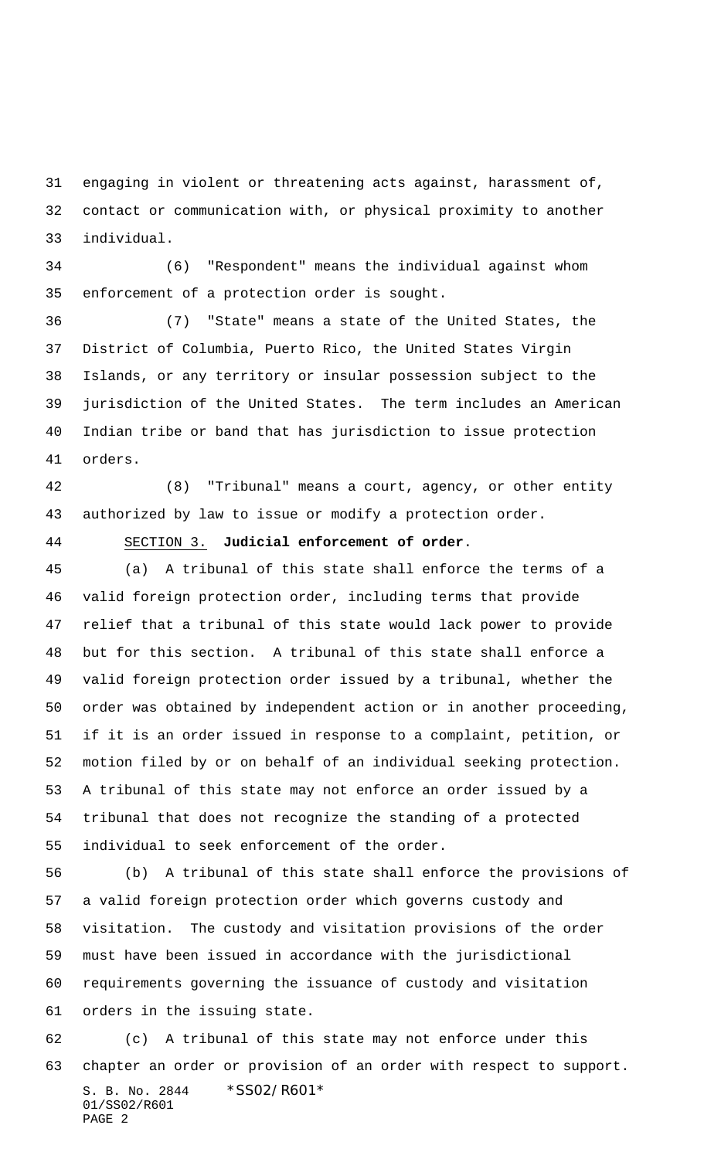engaging in violent or threatening acts against, harassment of, contact or communication with, or physical proximity to another individual.

 (6) "Respondent" means the individual against whom enforcement of a protection order is sought.

 (7) "State" means a state of the United States, the District of Columbia, Puerto Rico, the United States Virgin Islands, or any territory or insular possession subject to the jurisdiction of the United States. The term includes an American Indian tribe or band that has jurisdiction to issue protection orders.

 (8) "Tribunal" means a court, agency, or other entity authorized by law to issue or modify a protection order.

## SECTION 3. **Judicial enforcement of order**.

 (a) A tribunal of this state shall enforce the terms of a valid foreign protection order, including terms that provide relief that a tribunal of this state would lack power to provide but for this section. A tribunal of this state shall enforce a valid foreign protection order issued by a tribunal, whether the order was obtained by independent action or in another proceeding, if it is an order issued in response to a complaint, petition, or motion filed by or on behalf of an individual seeking protection. A tribunal of this state may not enforce an order issued by a tribunal that does not recognize the standing of a protected individual to seek enforcement of the order.

 (b) A tribunal of this state shall enforce the provisions of a valid foreign protection order which governs custody and visitation. The custody and visitation provisions of the order must have been issued in accordance with the jurisdictional requirements governing the issuance of custody and visitation orders in the issuing state.

S. B. No. 2844 \*SS02/R601\* 01/SS02/R601 PAGE 2 (c) A tribunal of this state may not enforce under this chapter an order or provision of an order with respect to support.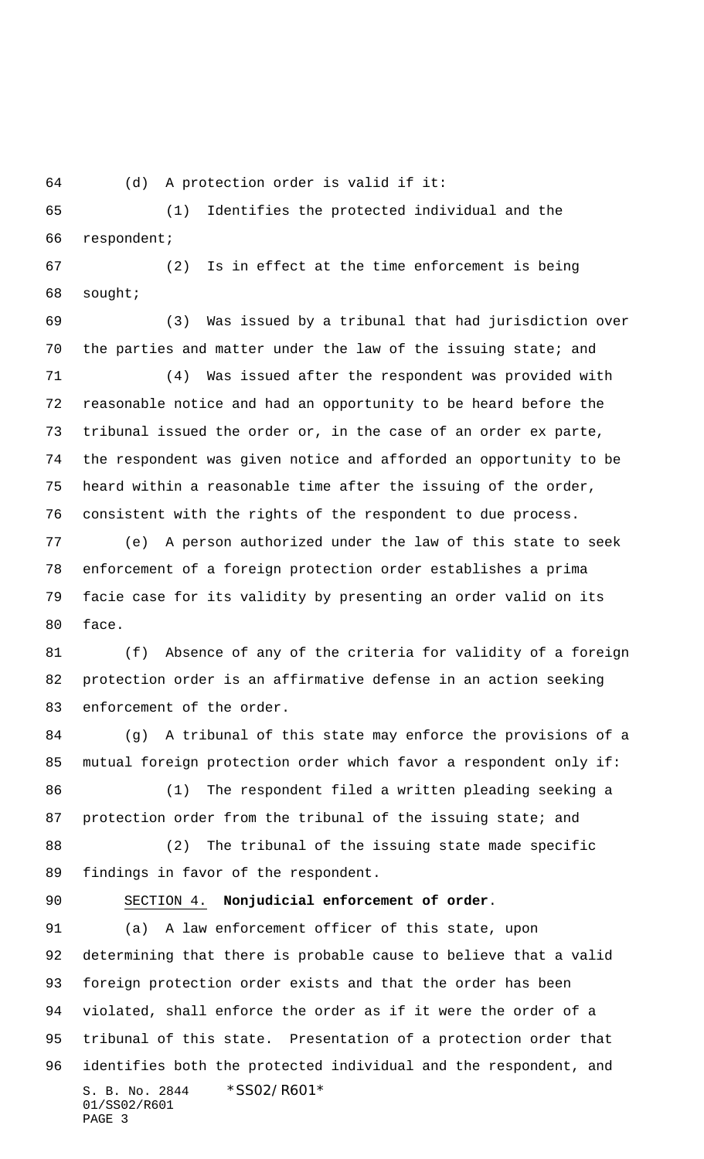(d) A protection order is valid if it:

 (1) Identifies the protected individual and the respondent;

 (2) Is in effect at the time enforcement is being sought;

 (3) Was issued by a tribunal that had jurisdiction over the parties and matter under the law of the issuing state; and

 (4) Was issued after the respondent was provided with reasonable notice and had an opportunity to be heard before the tribunal issued the order or, in the case of an order ex parte, the respondent was given notice and afforded an opportunity to be heard within a reasonable time after the issuing of the order, consistent with the rights of the respondent to due process.

 (e) A person authorized under the law of this state to seek enforcement of a foreign protection order establishes a prima facie case for its validity by presenting an order valid on its face.

 (f) Absence of any of the criteria for validity of a foreign protection order is an affirmative defense in an action seeking enforcement of the order.

 (g) A tribunal of this state may enforce the provisions of a mutual foreign protection order which favor a respondent only if:

 (1) The respondent filed a written pleading seeking a 87 protection order from the tribunal of the issuing state; and

 (2) The tribunal of the issuing state made specific findings in favor of the respondent.

## SECTION 4. **Nonjudicial enforcement of order**.

S. B. No. 2844 \* SS02/R601\* 01/SS02/R601 PAGE 3 (a) A law enforcement officer of this state, upon determining that there is probable cause to believe that a valid foreign protection order exists and that the order has been violated, shall enforce the order as if it were the order of a tribunal of this state. Presentation of a protection order that identifies both the protected individual and the respondent, and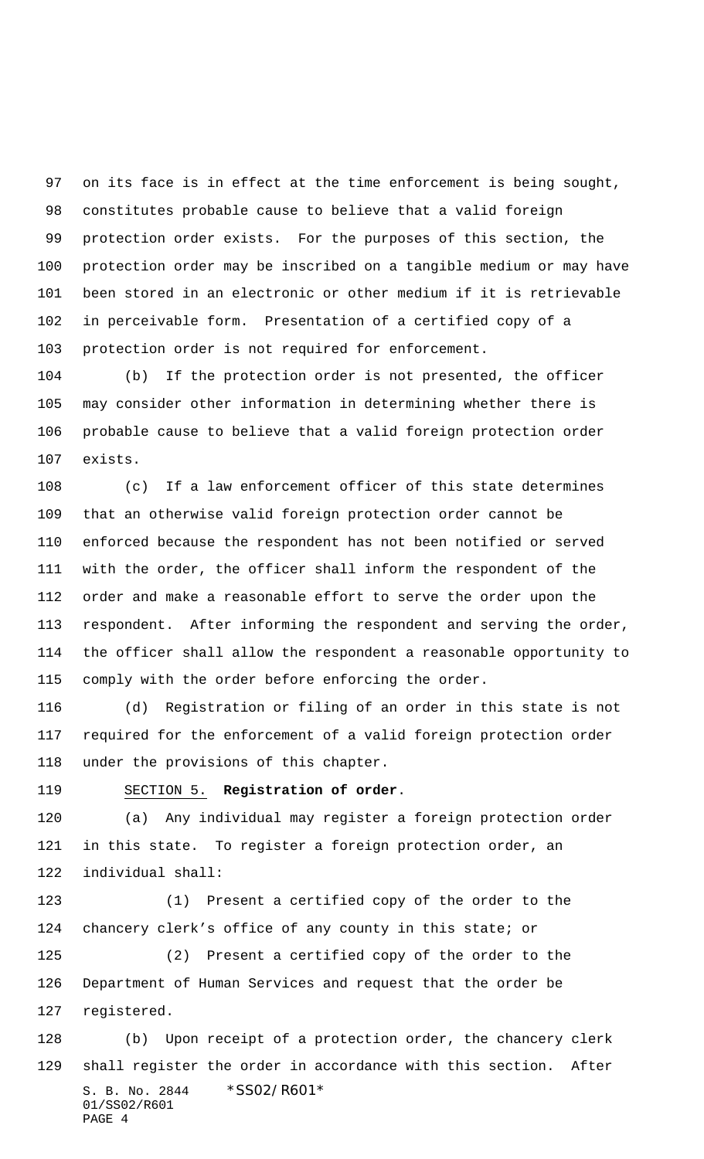on its face is in effect at the time enforcement is being sought, constitutes probable cause to believe that a valid foreign protection order exists. For the purposes of this section, the protection order may be inscribed on a tangible medium or may have been stored in an electronic or other medium if it is retrievable in perceivable form. Presentation of a certified copy of a protection order is not required for enforcement.

 (b) If the protection order is not presented, the officer may consider other information in determining whether there is probable cause to believe that a valid foreign protection order exists.

 (c) If a law enforcement officer of this state determines that an otherwise valid foreign protection order cannot be enforced because the respondent has not been notified or served with the order, the officer shall inform the respondent of the order and make a reasonable effort to serve the order upon the respondent. After informing the respondent and serving the order, the officer shall allow the respondent a reasonable opportunity to comply with the order before enforcing the order.

 (d) Registration or filing of an order in this state is not required for the enforcement of a valid foreign protection order under the provisions of this chapter.

## SECTION 5. **Registration of order**.

 (a) Any individual may register a foreign protection order in this state. To register a foreign protection order, an individual shall:

 (1) Present a certified copy of the order to the chancery clerk's office of any county in this state; or

 (2) Present a certified copy of the order to the Department of Human Services and request that the order be registered.

S. B. No. 2844 \* SS02/R601\* 01/SS02/R601 PAGE 4 (b) Upon receipt of a protection order, the chancery clerk shall register the order in accordance with this section. After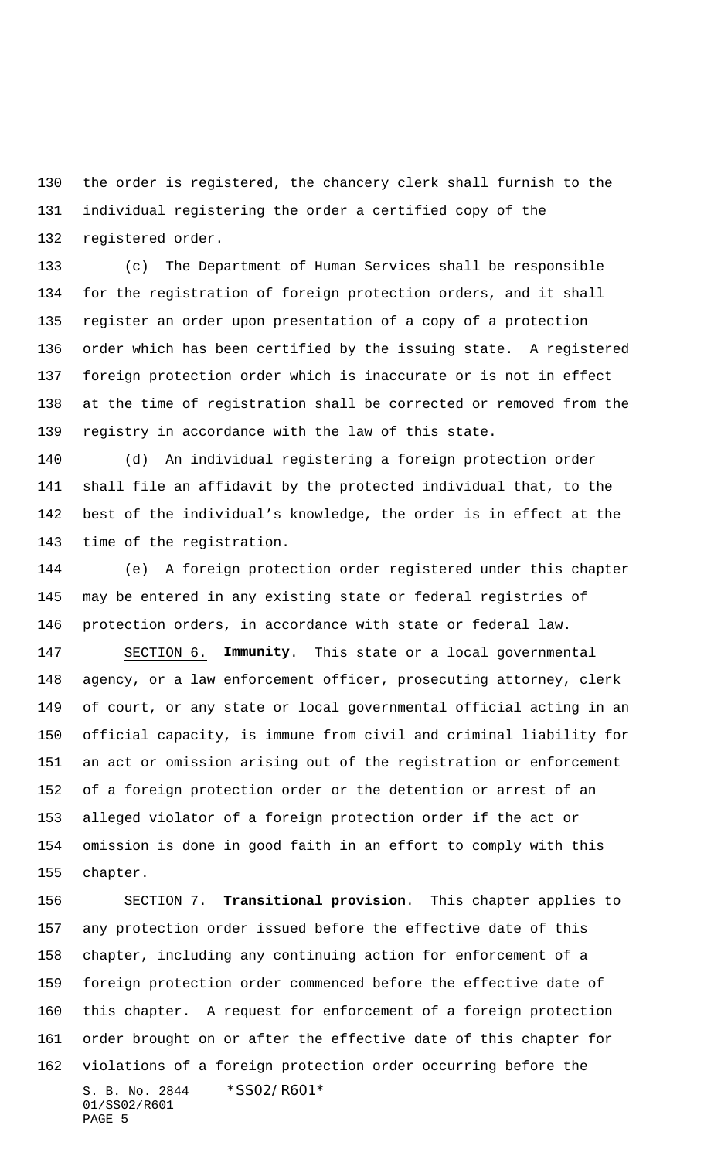the order is registered, the chancery clerk shall furnish to the individual registering the order a certified copy of the registered order.

 (c) The Department of Human Services shall be responsible for the registration of foreign protection orders, and it shall register an order upon presentation of a copy of a protection order which has been certified by the issuing state. A registered foreign protection order which is inaccurate or is not in effect at the time of registration shall be corrected or removed from the registry in accordance with the law of this state.

 (d) An individual registering a foreign protection order shall file an affidavit by the protected individual that, to the best of the individual's knowledge, the order is in effect at the time of the registration.

 (e) A foreign protection order registered under this chapter may be entered in any existing state or federal registries of protection orders, in accordance with state or federal law.

 SECTION 6. **Immunity**. This state or a local governmental agency, or a law enforcement officer, prosecuting attorney, clerk of court, or any state or local governmental official acting in an official capacity, is immune from civil and criminal liability for an act or omission arising out of the registration or enforcement of a foreign protection order or the detention or arrest of an alleged violator of a foreign protection order if the act or omission is done in good faith in an effort to comply with this chapter.

S. B. No. 2844 \* SS02/R601\* 01/SS02/R601 PAGE 5 SECTION 7. **Transitional provision**. This chapter applies to any protection order issued before the effective date of this chapter, including any continuing action for enforcement of a foreign protection order commenced before the effective date of this chapter. A request for enforcement of a foreign protection order brought on or after the effective date of this chapter for violations of a foreign protection order occurring before the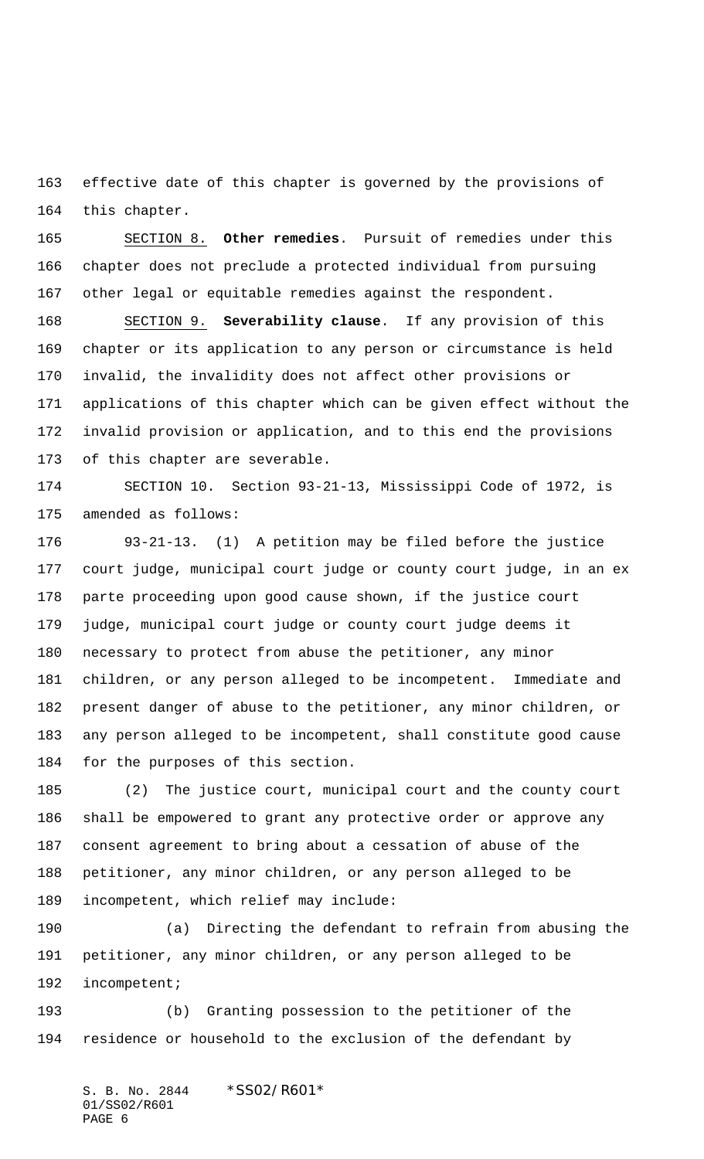effective date of this chapter is governed by the provisions of this chapter.

 SECTION 8. **Other remedies**. Pursuit of remedies under this chapter does not preclude a protected individual from pursuing other legal or equitable remedies against the respondent.

 SECTION 9. **Severability clause**. If any provision of this chapter or its application to any person or circumstance is held invalid, the invalidity does not affect other provisions or applications of this chapter which can be given effect without the invalid provision or application, and to this end the provisions of this chapter are severable.

 SECTION 10. Section 93-21-13, Mississippi Code of 1972, is amended as follows:

 93-21-13. (1) A petition may be filed before the justice court judge, municipal court judge or county court judge, in an ex parte proceeding upon good cause shown, if the justice court judge, municipal court judge or county court judge deems it necessary to protect from abuse the petitioner, any minor children, or any person alleged to be incompetent. Immediate and present danger of abuse to the petitioner, any minor children, or any person alleged to be incompetent, shall constitute good cause for the purposes of this section.

 (2) The justice court, municipal court and the county court shall be empowered to grant any protective order or approve any consent agreement to bring about a cessation of abuse of the petitioner, any minor children, or any person alleged to be incompetent, which relief may include:

 (a) Directing the defendant to refrain from abusing the petitioner, any minor children, or any person alleged to be incompetent;

 (b) Granting possession to the petitioner of the residence or household to the exclusion of the defendant by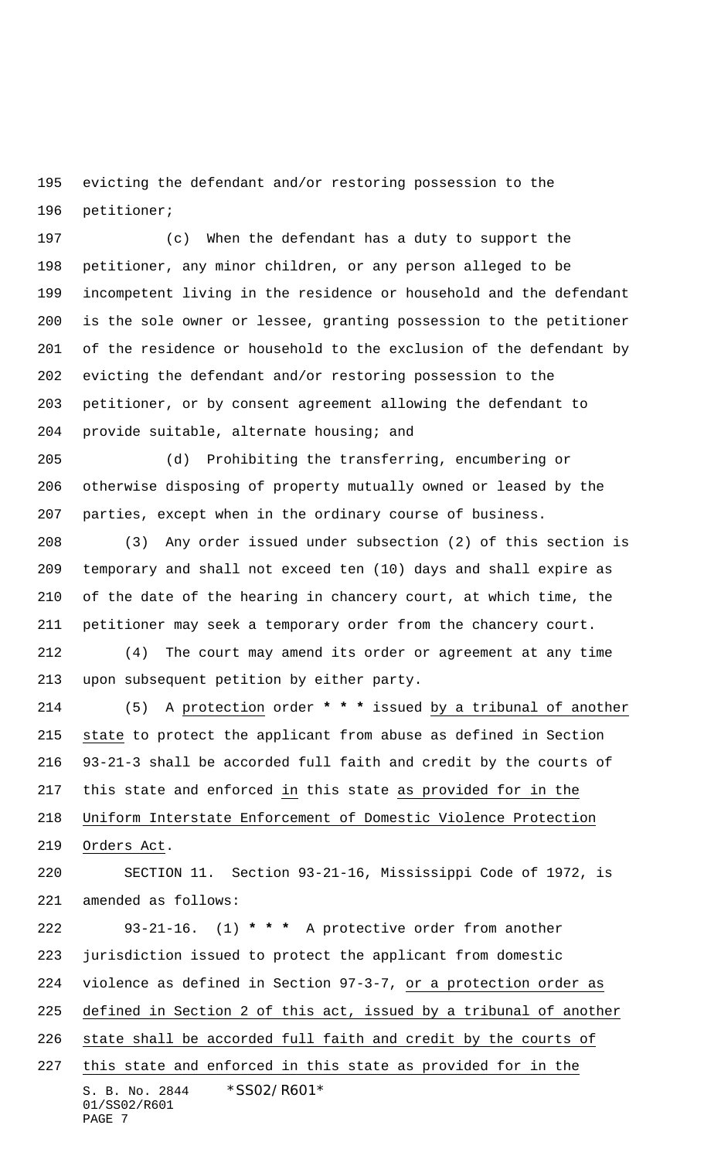evicting the defendant and/or restoring possession to the petitioner;

 (c) When the defendant has a duty to support the petitioner, any minor children, or any person alleged to be incompetent living in the residence or household and the defendant is the sole owner or lessee, granting possession to the petitioner of the residence or household to the exclusion of the defendant by evicting the defendant and/or restoring possession to the petitioner, or by consent agreement allowing the defendant to provide suitable, alternate housing; and

 (d) Prohibiting the transferring, encumbering or otherwise disposing of property mutually owned or leased by the parties, except when in the ordinary course of business.

 (3) Any order issued under subsection (2) of this section is temporary and shall not exceed ten (10) days and shall expire as of the date of the hearing in chancery court, at which time, the petitioner may seek a temporary order from the chancery court.

 (4) The court may amend its order or agreement at any time upon subsequent petition by either party.

 (5) A protection order **\* \* \*** issued by a tribunal of another state to protect the applicant from abuse as defined in Section 93-21-3 shall be accorded full faith and credit by the courts of this state and enforced in this state as provided for in the Uniform Interstate Enforcement of Domestic Violence Protection Orders Act.

 SECTION 11. Section 93-21-16, Mississippi Code of 1972, is amended as follows:

S. B. No. 2844 \* SS02/R601\* 01/SS02/R601 PAGE 7 93-21-16. (1) **\* \* \*** A protective order from another jurisdiction issued to protect the applicant from domestic violence as defined in Section 97-3-7, or a protection order as defined in Section 2 of this act, issued by a tribunal of another state shall be accorded full faith and credit by the courts of this state and enforced in this state as provided for in the